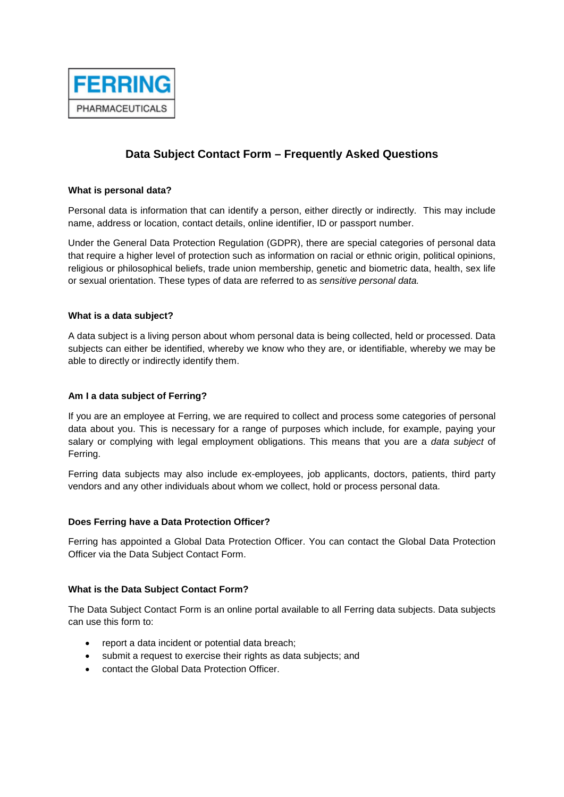

# **Data Subject Contact Form – Frequently Asked Questions**

## **What is personal data?**

Personal data is information that can identify a person, either directly or indirectly. This may include name, address or location, contact details, online identifier, ID or passport number.

Under the General Data Protection Regulation (GDPR), there are special categories of personal data that require a higher level of protection such as information on racial or ethnic origin, political opinions, religious or philosophical beliefs, trade union membership, genetic and biometric data, health, sex life or sexual orientation. These types of data are referred to as *sensitive personal data.*

## **What is a data subject?**

A data subject is a living person about whom personal data is being collected, held or processed. Data subjects can either be identified, whereby we know who they are, or identifiable, whereby we may be able to directly or indirectly identify them.

## **Am I a data subject of Ferring?**

If you are an employee at Ferring, we are required to collect and process some categories of personal data about you. This is necessary for a range of purposes which include, for example, paying your salary or complying with legal employment obligations. This means that you are a *data subject* of Ferring.

Ferring data subjects may also include ex-employees, job applicants, doctors, patients, third party vendors and any other individuals about whom we collect, hold or process personal data.

#### **Does Ferring have a Data Protection Officer?**

Ferring has appointed a Global Data Protection Officer. You can contact the Global Data Protection Officer via the Data Subject Contact Form.

#### **What is the Data Subject Contact Form?**

The Data Subject Contact Form is an online portal available to all Ferring data subjects. Data subjects can use this form to:

- report a data incident or potential data breach;
- submit a request to exercise their rights as data subjects; and
- contact the Global Data Protection Officer.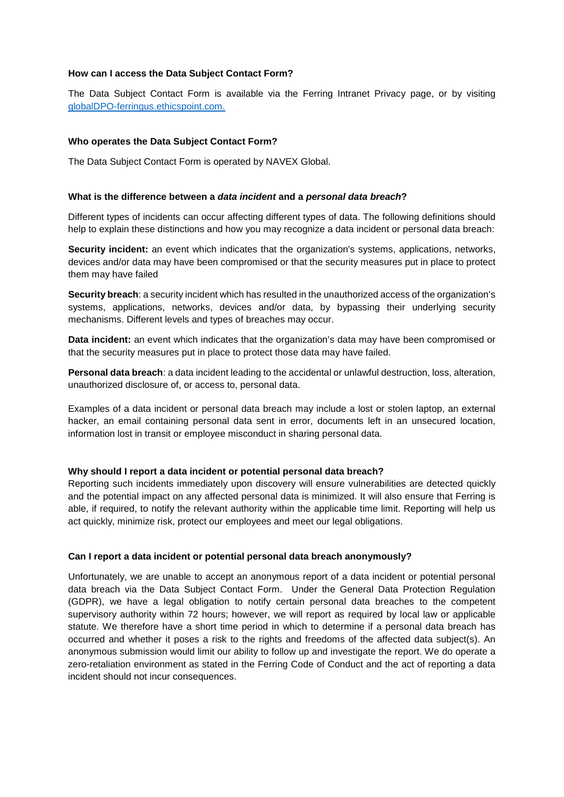## **How can I access the Data Subject Contact Form?**

The Data Subject Contact Form is available via the Ferring Intranet Privacy page, or by visiting [globalDPO-ferringus.ethicspoint.com.](http://globaldpo-ferringus.ethicspoint.com/)

#### **Who operates the Data Subject Contact Form?**

The Data Subject Contact Form is operated by NAVEX Global.

#### **What is the difference between a** *data incident* **and a** *personal data breach***?**

Different types of incidents can occur affecting different types of data. The following definitions should help to explain these distinctions and how you may recognize a data incident or personal data breach:

**Security incident:** an event which indicates that the organization's systems, applications, networks, devices and/or data may have been compromised or that the security measures put in place to protect them may have failed

**Security breach**: a security incident which has resulted in the unauthorized access of the organization's systems, applications, networks, devices and/or data, by bypassing their underlying security mechanisms. Different levels and types of breaches may occur.

**Data incident:** an event which indicates that the organization's data may have been compromised or that the security measures put in place to protect those data may have failed.

**Personal data breach**: a data incident leading to the accidental or unlawful destruction, loss, alteration, unauthorized disclosure of, or access to, personal data.

Examples of a data incident or personal data breach may include a lost or stolen laptop, an external hacker, an email containing personal data sent in error, documents left in an unsecured location, information lost in transit or employee misconduct in sharing personal data.

#### **Why should I report a data incident or potential personal data breach?**

Reporting such incidents immediately upon discovery will ensure vulnerabilities are detected quickly and the potential impact on any affected personal data is minimized. It will also ensure that Ferring is able, if required, to notify the relevant authority within the applicable time limit. Reporting will help us act quickly, minimize risk, protect our employees and meet our legal obligations.

## **Can I report a data incident or potential personal data breach anonymously?**

Unfortunately, we are unable to accept an anonymous report of a data incident or potential personal data breach via the Data Subject Contact Form. Under the General Data Protection Regulation (GDPR), we have a legal obligation to notify certain personal data breaches to the competent supervisory authority within 72 hours; however, we will report as required by local law or applicable statute. We therefore have a short time period in which to determine if a personal data breach has occurred and whether it poses a risk to the rights and freedoms of the affected data subject(s). An anonymous submission would limit our ability to follow up and investigate the report. We do operate a zero-retaliation environment as stated in the Ferring Code of Conduct and the act of reporting a data incident should not incur consequences.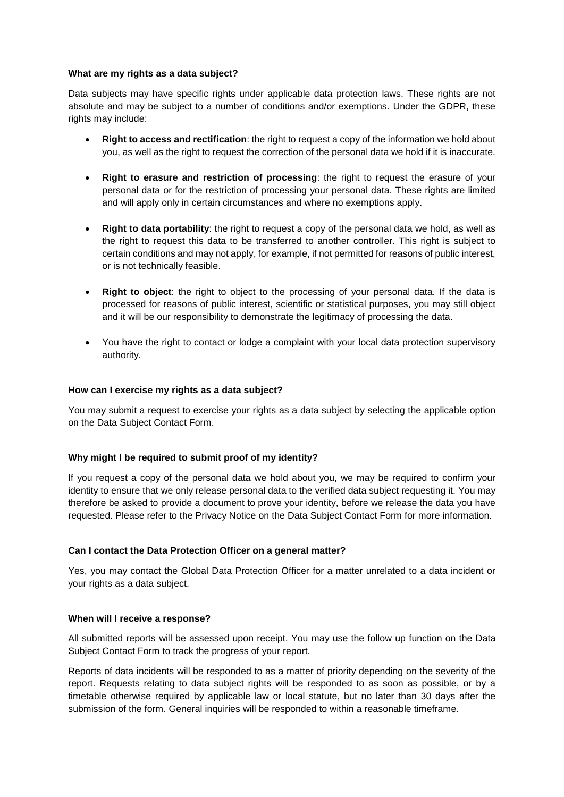## **What are my rights as a data subject?**

Data subjects may have specific rights under applicable data protection laws. These rights are not absolute and may be subject to a number of conditions and/or exemptions. Under the GDPR, these rights may include:

- **Right to access and rectification**: the right to request a copy of the information we hold about you, as well as the right to request the correction of the personal data we hold if it is inaccurate.
- **Right to erasure and restriction of processing**: the right to request the erasure of your personal data or for the restriction of processing your personal data. These rights are limited and will apply only in certain circumstances and where no exemptions apply.
- **Right to data portability**: the right to request a copy of the personal data we hold, as well as the right to request this data to be transferred to another controller. This right is subject to certain conditions and may not apply, for example, if not permitted for reasons of public interest, or is not technically feasible.
- **Right to object**: the right to object to the processing of your personal data. If the data is processed for reasons of public interest, scientific or statistical purposes, you may still object and it will be our responsibility to demonstrate the legitimacy of processing the data.
- You have the right to contact or lodge a complaint with your local data protection supervisory authority.

## **How can I exercise my rights as a data subject?**

You may submit a request to exercise your rights as a data subject by selecting the applicable option on the Data Subject Contact Form.

# **Why might I be required to submit proof of my identity?**

If you request a copy of the personal data we hold about you, we may be required to confirm your identity to ensure that we only release personal data to the verified data subject requesting it. You may therefore be asked to provide a document to prove your identity, before we release the data you have requested. Please refer to the Privacy Notice on the Data Subject Contact Form for more information.

# **Can I contact the Data Protection Officer on a general matter?**

Yes, you may contact the Global Data Protection Officer for a matter unrelated to a data incident or your rights as a data subject.

#### **When will I receive a response?**

All submitted reports will be assessed upon receipt. You may use the follow up function on the Data Subject Contact Form to track the progress of your report.

Reports of data incidents will be responded to as a matter of priority depending on the severity of the report. Requests relating to data subject rights will be responded to as soon as possible, or by a timetable otherwise required by applicable law or local statute, but no later than 30 days after the submission of the form. General inquiries will be responded to within a reasonable timeframe.